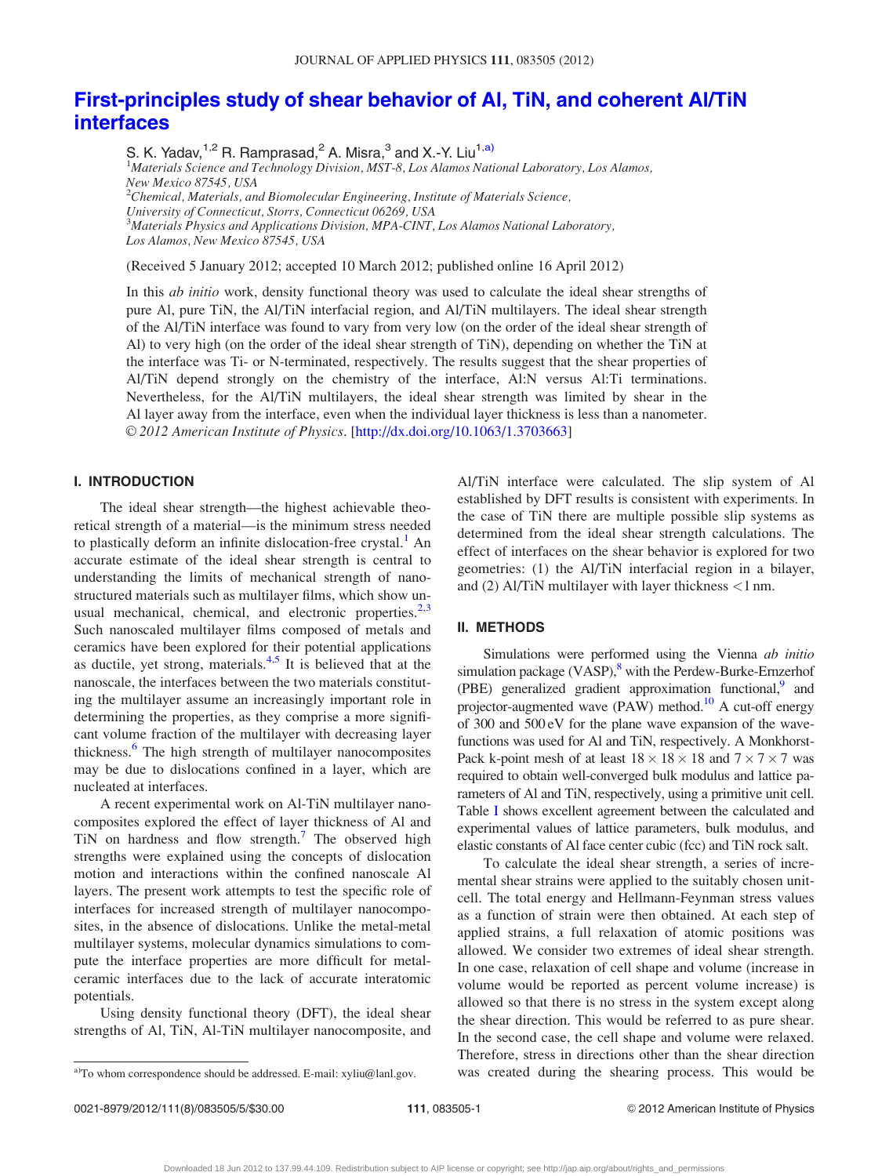# [First-principles study of shear behavior of Al, TiN, and coherent Al/TiN](http://dx.doi.org/10.1063/1.3703663) [interfaces](http://dx.doi.org/10.1063/1.3703663)

S. K. Yadav,  $1,2$  R. Ramprasad,  $2$  A. Misra,  $3$  and X.-Y. Liu  $1, a$ ) <sup>1</sup>Materials Science and Technology Division, MST-8, Los Alamos National Laboratory, Los Alamos, New Mexico 87545, USA  $^{2}$ Chemical, Materials, and Biomolecular Engineering, Institute of Materials Science, University of Connecticut, Storrs, Connecticut 06269, USA <sup>3</sup>Materials Physics and Applications Division, MPA-CINT, Los Alamos National Laboratory, Los Alamos, New Mexico 87545, USA

(Received 5 January 2012; accepted 10 March 2012; published online 16 April 2012)

In this *ab initio* work, density functional theory was used to calculate the ideal shear strengths of pure Al, pure TiN, the Al/TiN interfacial region, and Al/TiN multilayers. The ideal shear strength of the Al/TiN interface was found to vary from very low (on the order of the ideal shear strength of Al) to very high (on the order of the ideal shear strength of TiN), depending on whether the TiN at the interface was Ti- or N-terminated, respectively. The results suggest that the shear properties of Al/TiN depend strongly on the chemistry of the interface, Al:N versus Al:Ti terminations. Nevertheless, for the Al/TiN multilayers, the ideal shear strength was limited by shear in the Al layer away from the interface, even when the individual layer thickness is less than a nanometer. V<sup>C</sup> 2012 American Institute of Physics. [[http://dx.doi.org/10.1063/1.3703663\]](http://dx.doi.org/10.1063/1.3703663)

# I. INTRODUCTION

The ideal shear strength—the highest achievable theoretical strength of a material—is the minimum stress needed to plastically deform an infinite dislocation-free crystal.<sup>[1](#page-4-0)</sup> An accurate estimate of the ideal shear strength is central to understanding the limits of mechanical strength of nanostructured materials such as multilayer films, which show un-usual mechanical, chemical, and electronic properties.<sup>[2,3](#page-4-0)</sup> Such nanoscaled multilayer films composed of metals and ceramics have been explored for their potential applications as ductile, yet strong, materials. $4,5$  It is believed that at the nanoscale, the interfaces between the two materials constituting the multilayer assume an increasingly important role in determining the properties, as they comprise a more significant volume fraction of the multilayer with decreasing layer thickness.<sup>[6](#page-4-0)</sup> The high strength of multilayer nanocomposites may be due to dislocations confined in a layer, which are nucleated at interfaces.

A recent experimental work on Al-TiN multilayer nanocomposites explored the effect of layer thickness of Al and TiN on hardness and flow strength.<sup>[7](#page-4-0)</sup> The observed high strengths were explained using the concepts of dislocation motion and interactions within the confined nanoscale Al layers. The present work attempts to test the specific role of interfaces for increased strength of multilayer nanocomposites, in the absence of dislocations. Unlike the metal-metal multilayer systems, molecular dynamics simulations to compute the interface properties are more difficult for metalceramic interfaces due to the lack of accurate interatomic potentials.

Using density functional theory (DFT), the ideal shear strengths of Al, TiN, Al-TiN multilayer nanocomposite, and Al/TiN interface were calculated. The slip system of Al established by DFT results is consistent with experiments. In the case of TiN there are multiple possible slip systems as determined from the ideal shear strength calculations. The effect of interfaces on the shear behavior is explored for two geometries: (1) the Al/TiN interfacial region in a bilayer, and (2) Al/TiN multilayer with layer thickness  $<$ 1 nm.

#### II. METHODS

Simulations were performed using the Vienna *ab initio* simulation package  $(VASP)$ , with the Perdew-Burke-Ernzerhof (PBE) generalized gradient approximation functional,<sup>9</sup> and projector-augmented wave (PAW) method.<sup>[10](#page-4-0)</sup> A cut-off energy of 300 and 500 eV for the plane wave expansion of the wavefunctions was used for Al and TiN, respectively. A Monkhorst-Pack k-point mesh of at least  $18 \times 18 \times 18$  and  $7 \times 7 \times 7$  was required to obtain well-converged bulk modulus and lattice parameters of Al and TiN, respectively, using a primitive unit cell. Table [I](#page-1-0) shows excellent agreement between the calculated and experimental values of lattice parameters, bulk modulus, and elastic constants of Al face center cubic (fcc) and TiN rock salt.

To calculate the ideal shear strength, a series of incremental shear strains were applied to the suitably chosen unitcell. The total energy and Hellmann-Feynman stress values as a function of strain were then obtained. At each step of applied strains, a full relaxation of atomic positions was allowed. We consider two extremes of ideal shear strength. In one case, relaxation of cell shape and volume (increase in volume would be reported as percent volume increase) is allowed so that there is no stress in the system except along the shear direction. This would be referred to as pure shear. In the second case, the cell shape and volume were relaxed. Therefore, stress in directions other than the shear direction a)To whom correspondence should be addressed. E-mail: xyliu@lanl.gov. was created during the shearing process. This would be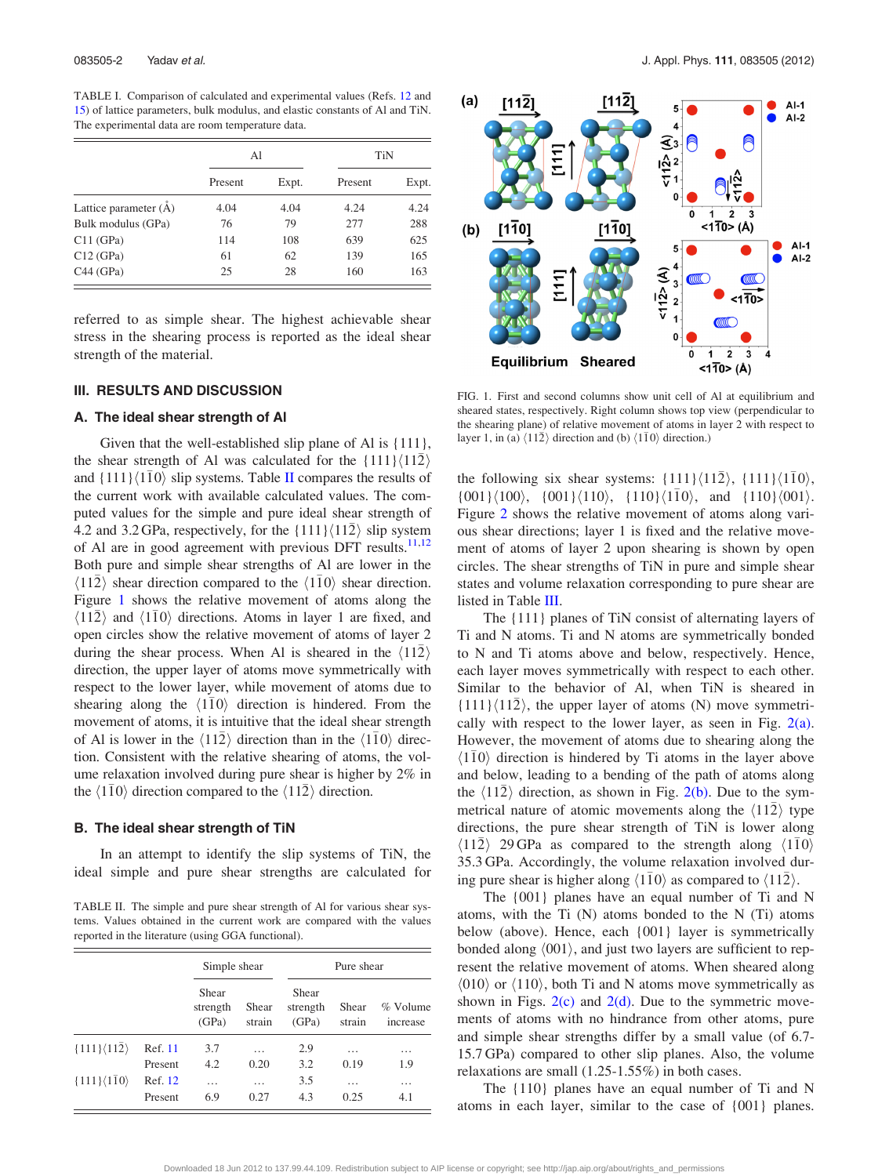<span id="page-1-0"></span>TABLE I. Comparison of calculated and experimental values (Refs. [12](#page-4-0) and [15\)](#page-4-0) of lattice parameters, bulk modulus, and elastic constants of Al and TiN. The experimental data are room temperature data.

|                           | Al      |       | TiN     |       |
|---------------------------|---------|-------|---------|-------|
|                           | Present | Expt. | Present | Expt. |
| Lattice parameter $(\AA)$ | 4.04    | 4.04  | 4.24    | 4.24  |
| Bulk modulus (GPa)        | 76      | 79    | 277     | 288   |
| C11(GPa)                  | 114     | 108   | 639     | 625   |
| $C12$ (GPa)               | 61      | 62    | 139     | 165   |
| $C44$ (GPa)               | 25      | 28    | 160     | 163   |

referred to as simple shear. The highest achievable shear stress in the shearing process is reported as the ideal shear strength of the material.

## III. RESULTS AND DISCUSSION

## A. The ideal shear strength of Al

Given that the well-established slip plane of Al is {111}, the shear strength of Al was calculated for the  $\{111\}\langle11\bar{2}\rangle$ and  $\{111\}\langle1\overline{1}0\rangle$  slip systems. Table II compares the results of the current work with available calculated values. The computed values for the simple and pure ideal shear strength of 4.2 and 3.2 GPa, respectively, for the  $\{111\}\langle11\bar{2}\rangle$  slip system of Al are in good agreement with previous DFT results.<sup>[11,12](#page-4-0)</sup> Both pure and simple shear strengths of Al are lower in the  $\langle 11\overline{2}\rangle$  shear direction compared to the  $\langle 1\overline{1}0\rangle$  shear direction. Figure 1 shows the relative movement of atoms along the  $\langle 11\bar{2}\rangle$  and  $\langle 1\bar{1}0\rangle$  directions. Atoms in layer 1 are fixed, and open circles show the relative movement of atoms of layer 2 during the shear process. When Al is sheared in the  $\langle 11\bar{2} \rangle$ direction, the upper layer of atoms move symmetrically with respect to the lower layer, while movement of atoms due to shearing along the  $\langle 1\bar{1}0 \rangle$  direction is hindered. From the movement of atoms, it is intuitive that the ideal shear strength of Al is lower in the  $\langle 11\overline{2}\rangle$  direction than in the  $\langle 1\overline{1}0\rangle$  direction. Consistent with the relative shearing of atoms, the volume relaxation involved during pure shear is higher by 2% in the  $\langle 1\bar{1}0 \rangle$  direction compared to the  $\langle 11\bar{2} \rangle$  direction.

## B. The ideal shear strength of TiN

In an attempt to identify the slip systems of TiN, the ideal simple and pure shear strengths are calculated for

TABLE II. The simple and pure shear strength of Al for various shear systems. Values obtained in the current work are compared with the values reported in the literature (using GGA functional).

|                                        |                    | Simple shear               |                  | Pure shear                 |                 |                        |
|----------------------------------------|--------------------|----------------------------|------------------|----------------------------|-----------------|------------------------|
|                                        |                    | Shear<br>strength<br>(GPa) | Shear<br>strain  | Shear<br>strength<br>(GPa) | Shear<br>strain | $%$ Volume<br>increase |
| $\{111\}\langle 11\overline{2}\rangle$ | Ref. 11            | 3.7                        | $\cdots$         | 2.9                        | .               | .                      |
|                                        | Present            | 4.2                        | 0.20             | 3.2                        | 0.19            | 1.9                    |
| $\{111\}\langle 1\overline{1}0\rangle$ | Ref. 12<br>Present | $\cdots$<br>6.9            | $\cdots$<br>0.27 | 3.5<br>4.3                 | .<br>0.25       | .<br>4.1               |



FIG. 1. First and second columns show unit cell of Al at equilibrium and sheared states, respectively. Right column shows top view (perpendicular to the shearing plane) of relative movement of atoms in layer 2 with respect to layer 1, in (a)  $\langle 11\bar{2} \rangle$  direction and (b)  $\langle 1\bar{1}0 \rangle$  direction.)

the following six shear systems:  $\{111\}\langle11\overline{2}\rangle$ ,  $\{111\}\langle1\overline{1}0\rangle$ ,  $\{001\}\langle 100\rangle, \quad \{001\}\langle 110\rangle, \quad \{110\}\langle 1\overline{1}0\rangle, \quad \text{and} \quad \{110\}\langle 001\rangle.$ Figure [2](#page-2-0) shows the relative movement of atoms along various shear directions; layer 1 is fixed and the relative movement of atoms of layer 2 upon shearing is shown by open circles. The shear strengths of TiN in pure and simple shear states and volume relaxation corresponding to pure shear are listed in Table [III](#page-2-0).

The {111} planes of TiN consist of alternating layers of Ti and N atoms. Ti and N atoms are symmetrically bonded to N and Ti atoms above and below, respectively. Hence, each layer moves symmetrically with respect to each other. Similar to the behavior of Al, when TiN is sheared in  ${111}\langle 11\bar{2} \rangle$ , the upper layer of atoms (N) move symmetrically with respect to the lower layer, as seen in Fig. [2\(a\)](#page-2-0). However, the movement of atoms due to shearing along the  $\langle 1\bar{1}0 \rangle$  direction is hindered by Ti atoms in the layer above and below, leading to a bending of the path of atoms along the  $\langle 11\overline{2} \rangle$  direction, as shown in Fig. [2\(b\).](#page-2-0) Due to the symmetrical nature of atomic movements along the  $\langle 11\bar{2}\rangle$  type directions, the pure shear strength of TiN is lower along  $\langle 11\bar{2} \rangle$  29 GPa as compared to the strength along  $\langle 1\bar{1}0 \rangle$ 35.3 GPa. Accordingly, the volume relaxation involved during pure shear is higher along  $\langle 1\bar{1}0 \rangle$  as compared to  $\langle 11\bar{2} \rangle$ .

The {001} planes have an equal number of Ti and N atoms, with the Ti (N) atoms bonded to the N (Ti) atoms below (above). Hence, each {001} layer is symmetrically bonded along  $\langle 001 \rangle$ , and just two layers are sufficient to represent the relative movement of atoms. When sheared along  $\langle 010 \rangle$  or  $\langle 110 \rangle$ , both Ti and N atoms move symmetrically as shown in Figs.  $2(c)$  and  $2(d)$ . Due to the symmetric movements of atoms with no hindrance from other atoms, pure and simple shear strengths differ by a small value (of 6.7- 15.7 GPa) compared to other slip planes. Also, the volume relaxations are small (1.25-1.55%) in both cases.

The {110} planes have an equal number of Ti and N atoms in each layer, similar to the case of {001} planes.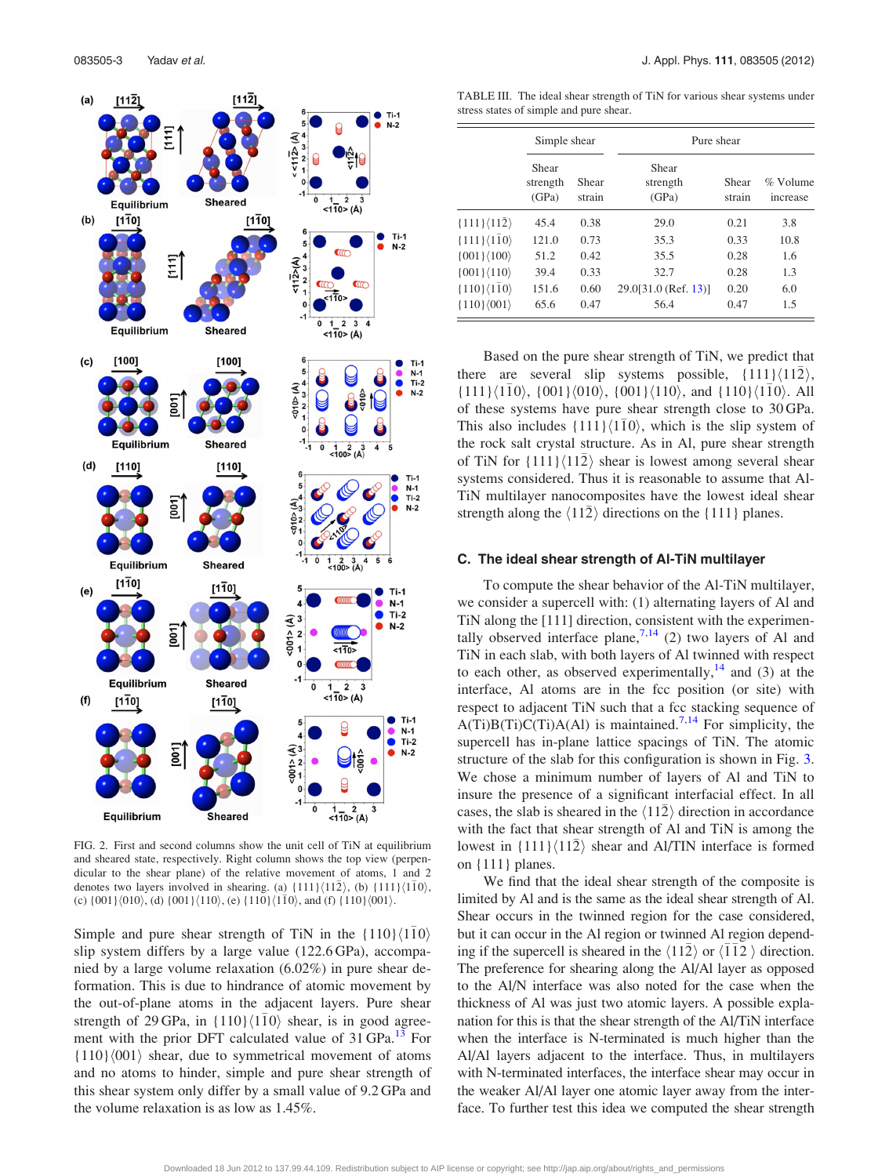<span id="page-2-0"></span>

FIG. 2. First and second columns show the unit cell of TiN at equilibrium and sheared state, respectively. Right column shows the top view (perpendicular to the shear plane) of the relative movement of atoms, 1 and 2 denotes two layers involved in shearing. (a)  $\{111\}\langle11\bar{2}\rangle$ , (b)  $\{111\}\langle1\bar{1}0\rangle$ , (c)  $\{001\}\langle 010 \rangle$ , (d)  $\{001\}\langle 110 \rangle$ , (e)  $\{110\}\langle 110 \rangle$ , and (f)  $\{110\}\langle 001 \rangle$ .

Simple and pure shear strength of TiN in the  $\{110\}\langle1\overline{1}0\rangle$ slip system differs by a large value (122.6 GPa), accompanied by a large volume relaxation (6.02%) in pure shear deformation. This is due to hindrance of atomic movement by the out-of-plane atoms in the adjacent layers. Pure shear strength of 29 GPa, in  $\{110\}\langle1\bar{1}0\rangle$  shear, is in good agree-ment with the prior DFT calculated value of 31 GPa.<sup>[13](#page-4-0)</sup> For  ${110}\langle 001 \rangle$  shear, due to symmetrical movement of atoms and no atoms to hinder, simple and pure shear strength of this shear system only differ by a small value of 9.2 GPa and the volume relaxation is as low as 1.45%.

TABLE III. The ideal shear strength of TiN for various shear systems under stress states of simple and pure shear.

|                                   | Simple shear               |                 | Pure shear                 |                 |                        |  |
|-----------------------------------|----------------------------|-----------------|----------------------------|-----------------|------------------------|--|
|                                   | Shear<br>strength<br>(GPa) | Shear<br>strain | Shear<br>strength<br>(GPa) | Shear<br>strain | $%$ Volume<br>increase |  |
| $\{111\}\langle 112\rangle$       | 45.4                       | 0.38            | 29.0                       | 0.21            | 3.8                    |  |
| $\{111\}\langle 1\bar{1}0\rangle$ | 121.0                      | 0.73            | 35.3                       | 0.33            | 10.8                   |  |
| $\{001\}\langle100\rangle$        | 51.2                       | 0.42            | 35.5                       | 0.28            | 1.6                    |  |
| $\{001\}\langle 110 \rangle$      | 39.4                       | 0.33            | 32.7                       | 0.28            | 1.3                    |  |
| $\{110\}\langle 1\bar{1}0\rangle$ | 151.6                      | 0.60            | 29.0[31.0 (Ref. 13)]       | 0.20            | 6.0                    |  |
| ${110}\langle 001 \rangle$        | 65.6                       | 0.47            | 56.4                       | 0.47            | 1.5                    |  |

Based on the pure shear strength of TiN, we predict that there are several slip systems possible,  $\{111\}\langle11\bar{2}\rangle$ ,  $\{111\}\langle1\overline{1}0\rangle, \{001\}\langle010\rangle, \{001\}\langle110\rangle, \text{ and } \{110\}\langle1\overline{1}0\rangle. \text{ All}$ of these systems have pure shear strength close to 30 GPa. This also includes  $\{111\}\langle1\bar{1}0\rangle$ , which is the slip system of the rock salt crystal structure. As in Al, pure shear strength of TiN for  $\{111\}\langle11\bar{2}\rangle$  shear is lowest among several shear systems considered. Thus it is reasonable to assume that Al-TiN multilayer nanocomposites have the lowest ideal shear strength along the  $\langle 11\bar{2} \rangle$  directions on the {111} planes.

#### C. The ideal shear strength of Al-TiN multilayer

To compute the shear behavior of the Al-TiN multilayer, we consider a supercell with: (1) alternating layers of Al and TiN along the [111] direction, consistent with the experimentally observed interface plane,  $7,14$  (2) two layers of Al and TiN in each slab, with both layers of Al twinned with respect to each other, as observed experimentally,  $^{14}$  $^{14}$  $^{14}$  and (3) at the interface, Al atoms are in the fcc position (or site) with respect to adjacent TiN such that a fcc stacking sequence of  $A(Ti)B(Ti)C(Ti)A(Al)$  is maintained.<sup>[7,14](#page-4-0)</sup> For simplicity, the supercell has in-plane lattice spacings of TiN. The atomic structure of the slab for this configuration is shown in Fig. [3](#page-3-0). We chose a minimum number of layers of Al and TiN to insure the presence of a significant interfacial effect. In all cases, the slab is sheared in the  $\langle 11\bar{2} \rangle$  direction in accordance with the fact that shear strength of Al and TiN is among the lowest in  $\{111\}\langle11\bar{2}\rangle$  shear and Al/TIN interface is formed on {111} planes.

We find that the ideal shear strength of the composite is limited by Al and is the same as the ideal shear strength of Al. Shear occurs in the twinned region for the case considered, but it can occur in the Al region or twinned Al region depending if the supercell is sheared in the  $\langle 11\bar{2}\rangle$  or  $\langle \bar{11}2 \rangle$  direction. The preference for shearing along the Al/Al layer as opposed to the Al/N interface was also noted for the case when the thickness of Al was just two atomic layers. A possible explanation for this is that the shear strength of the Al/TiN interface when the interface is N-terminated is much higher than the Al/Al layers adjacent to the interface. Thus, in multilayers with N-terminated interfaces, the interface shear may occur in the weaker Al/Al layer one atomic layer away from the interface. To further test this idea we computed the shear strength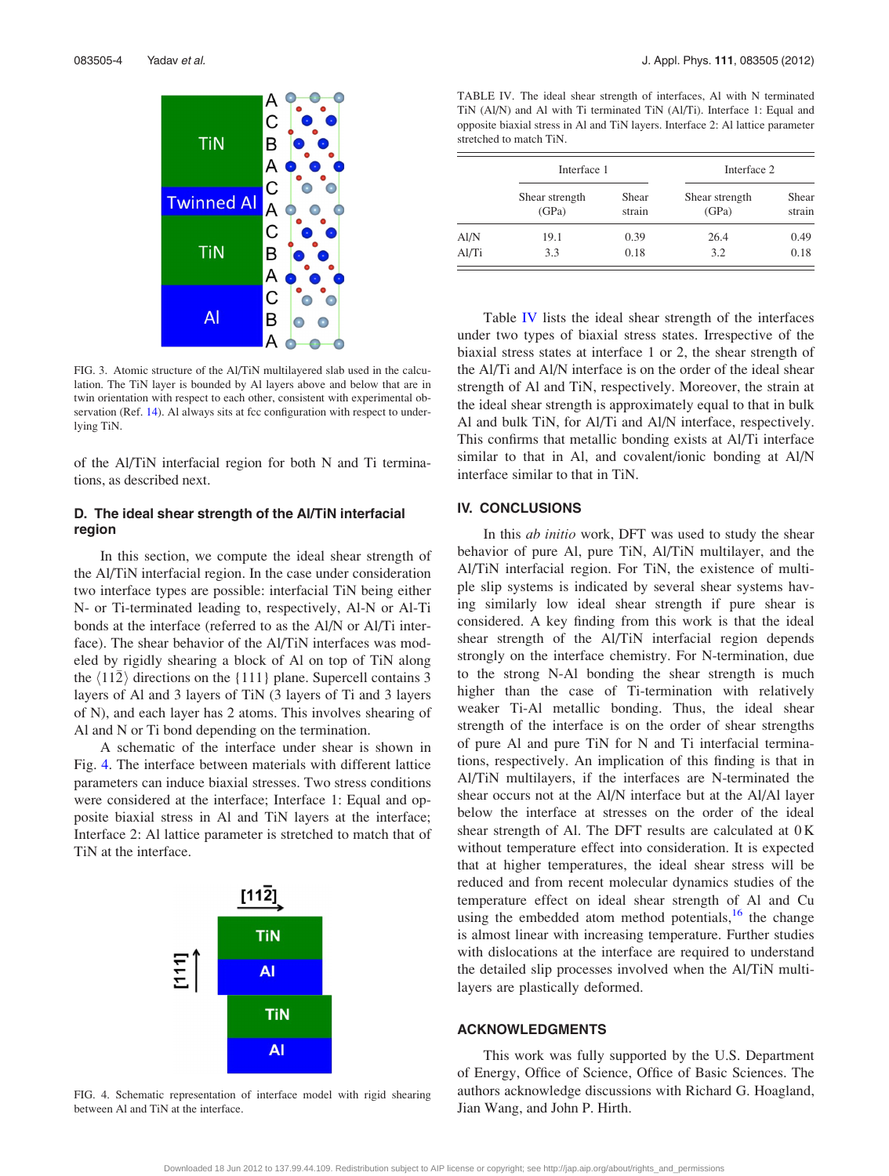<span id="page-3-0"></span>

FIG. 3. Atomic structure of the Al/TiN multilayered slab used in the calculation. The TiN layer is bounded by Al layers above and below that are in twin orientation with respect to each other, consistent with experimental ob-servation (Ref. [14\)](#page-4-0). Al always sits at fcc configuration with respect to underlying TiN.

of the Al/TiN interfacial region for both N and Ti terminations, as described next.

# D. The ideal shear strength of the Al/TiN interfacial region

In this section, we compute the ideal shear strength of the Al/TiN interfacial region. In the case under consideration two interface types are possible: interfacial TiN being either N- or Ti-terminated leading to, respectively, Al-N or Al-Ti bonds at the interface (referred to as the Al/N or Al/Ti interface). The shear behavior of the Al/TiN interfaces was modeled by rigidly shearing a block of Al on top of TiN along the  $\langle 11\bar{2} \rangle$  directions on the {111} plane. Supercell contains 3 layers of Al and 3 layers of TiN (3 layers of Ti and 3 layers of N), and each layer has 2 atoms. This involves shearing of Al and N or Ti bond depending on the termination.

A schematic of the interface under shear is shown in Fig. 4. The interface between materials with different lattice parameters can induce biaxial stresses. Two stress conditions were considered at the interface; Interface 1: Equal and opposite biaxial stress in Al and TiN layers at the interface; Interface 2: Al lattice parameter is stretched to match that of TiN at the interface.



FIG. 4. Schematic representation of interface model with rigid shearing between Al and TiN at the interface.

TABLE IV. The ideal shear strength of interfaces, Al with N terminated TiN (Al/N) and Al with Ti terminated TiN (Al/Ti). Interface 1: Equal and opposite biaxial stress in Al and TiN layers. Interface 2: Al lattice parameter stretched to match TiN.

|       | Interface 1             |                 | Interface 2             |                 |
|-------|-------------------------|-----------------|-------------------------|-----------------|
|       | Shear strength<br>(GPa) | Shear<br>strain | Shear strength<br>(GPa) | Shear<br>strain |
| AI/N  | 19.1                    | 0.39            | 26.4                    | 0.49            |
| Al/Ti | 3.3                     | 0.18            | 3.2                     | 0.18            |

Table IV lists the ideal shear strength of the interfaces under two types of biaxial stress states. Irrespective of the biaxial stress states at interface 1 or 2, the shear strength of the Al/Ti and Al/N interface is on the order of the ideal shear strength of Al and TiN, respectively. Moreover, the strain at the ideal shear strength is approximately equal to that in bulk Al and bulk TiN, for Al/Ti and Al/N interface, respectively. This confirms that metallic bonding exists at Al/Ti interface similar to that in Al, and covalent/ionic bonding at Al/N interface similar to that in TiN.

## IV. CONCLUSIONS

In this *ab initio* work, DFT was used to study the shear behavior of pure Al, pure TiN, Al/TiN multilayer, and the Al/TiN interfacial region. For TiN, the existence of multiple slip systems is indicated by several shear systems having similarly low ideal shear strength if pure shear is considered. A key finding from this work is that the ideal shear strength of the Al/TiN interfacial region depends strongly on the interface chemistry. For N-termination, due to the strong N-Al bonding the shear strength is much higher than the case of Ti-termination with relatively weaker Ti-Al metallic bonding. Thus, the ideal shear strength of the interface is on the order of shear strengths of pure Al and pure TiN for N and Ti interfacial terminations, respectively. An implication of this finding is that in Al/TiN multilayers, if the interfaces are N-terminated the shear occurs not at the Al/N interface but at the Al/Al layer below the interface at stresses on the order of the ideal shear strength of Al. The DFT results are calculated at 0 K without temperature effect into consideration. It is expected that at higher temperatures, the ideal shear stress will be reduced and from recent molecular dynamics studies of the temperature effect on ideal shear strength of Al and Cu using the embedded atom method potentials, $^{16}$  $^{16}$  $^{16}$  the change is almost linear with increasing temperature. Further studies with dislocations at the interface are required to understand the detailed slip processes involved when the Al/TiN multilayers are plastically deformed.

#### ACKNOWLEDGMENTS

This work was fully supported by the U.S. Department of Energy, Office of Science, Office of Basic Sciences. The authors acknowledge discussions with Richard G. Hoagland, Jian Wang, and John P. Hirth.